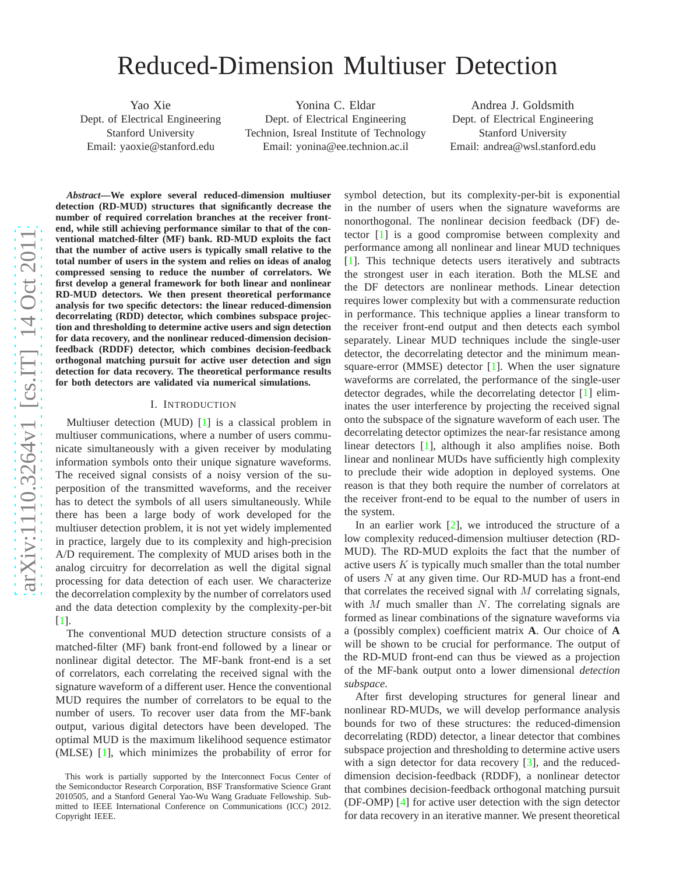# Reduced-Dimension Multiuser Detection

Yao Xie Dept. of Electrical Engineering Stanford University Email: yaoxie@stanford.edu

Yonina C. Eldar Dept. of Electrical Engineering Technion, Isreal Institute of Technology Email: yonina@ee.technion.ac.il

Andrea J. Goldsmith Dept. of Electrical Engineering Stanford University Email: andrea@wsl.stanford.edu

*Abstract***—We explore several reduced-dimension multiuser detection (RD-MUD) structures that significantly decrease the number of required correlation branches at the receiver frontend, while still achieving performance similar to that of the conventional matched-filter (MF) bank. RD-MUD exploits the fact that the number of active users is typically small relative to the total number of users in the system and relies on ideas of analog compressed sensing to reduce the number of correlators. We first develop a general framework for both linear and nonlinear RD-MUD detectors. We then present theoretical performance analysis for two specific detectors: the linear reduced-dimension decorrelating (RDD) detector, which combines subspace projection and thresholding to determine active users and sign detection for data recovery, and the nonlinear reduced-dimension decisionfeedback (RDDF) detector, which combines decision-feedback orthogonal matching pursuit for active user detection and sign detection for data recovery. The theoretical performance results for both detectors are validated via numerical simulations .**

#### I. INTRODUCTION

Multiuser detection (MUD) [ [1\]](#page-4-0) is a classical problem in multiuser communications, where a number of users communicate simultaneously with a given receiver by modulating information symbols onto their unique signature waveforms . The received signal consists of a noisy version of the superposition of the transmitted waveforms, and the receiver has to detect the symbols of all users simultaneously. While there has been a large body of work developed for the multiuser detection problem, it is not yet widely implemented in practice, largely due to its complexity and high-precision A/D requirement. The complexity of MUD arises both in the analog circuitry for decorrelation as well the digital signal processing for data detection of each user. We characterize the decorrelation complexity by the number of correlators used and the data detection complexity by the complexity-per-bi t [ [1\]](#page-4-0).

The conventional MUD detection structure consists of a matched-filter (MF) bank front-end followed by a linear or nonlinear digital detector. The MF-bank front-end is a set of correlators, each correlating the received signal with the signature waveform of a different user. Hence the conventional MUD requires the number of correlators to be equal to the number of users. To recover user data from the MF-bank output, various digital detectors have been developed. The optimal MUD is the maximum likelihood sequence estimator (MLSE) [ [1\]](#page-4-0), which minimizes the probability of error for

symbol detection, but its complexity-per-bit is exponential in the number of users when the signature waveforms are nonorthogonal. The nonlinear decision feedback (DF) detector [\[1\]](#page-4-0) is a good compromise between complexity and performance among all nonlinear and linear MUD techniques [\[1\]](#page-4-0). This technique detects users iteratively and subtracts the strongest user in each iteration. Both the MLSE and the DF detectors are nonlinear methods. Linear detection requires lower complexity but with a commensurate reductio n in performance. This technique applies a linear transform to the receiver front-end output and then detects each symbol separately. Linear MUD techniques include the single-user detector, the decorrelating detector and the minimum mean-square-error (MMSE) detector [\[1\]](#page-4-0). When the user signature waveforms are correlated, the performance of the single-user detector degrades, while the decorrelating detector [ [1\]](#page-4-0) eliminates the user interference by projecting the received signal onto the subspace of the signature waveform of each user. The decorrelating detector optimizes the near-far resistance among linear detectors [[1\]](#page-4-0), although it also amplifies noise. Both linear and nonlinear MUDs have sufficiently high complexity to preclude their wide adoption in deployed systems. One reason is that they both require the number of correlators at the receiver front-end to be equal to the number of users in the system.

In an earlier work [ [2\]](#page-4-1), we introduced the structure of a low complexity reduced-dimension multiuser detection (RD - MUD). The RD-MUD exploits the fact that the number of active users  $K$  is typically much smaller than the total number of users N at any given time. Our RD-MUD has a front-end that correlates the received signal with  $M$  correlating signals, with  $M$  much smaller than  $N$ . The correlating signals are formed as linear combinations of the signature waveforms vi a a (possibly complex) coefficient matrix **A**. Our choice of **A** will be shown to be crucial for performance. The output of the RD-MUD front-end can thus be viewed as a projection of the MF-bank output onto a lower dimensional *detection subspace* .

After first developing structures for general linear and nonlinear RD-MUDs, we will develop performance analysis bounds for two of these structures: the reduced-dimension decorrelating (RDD) detector, a linear detector that combines subspace projection and thresholding to determine active users with a sign detector for data recovery [[3\]](#page-4-2), and the reduceddimension decision-feedback (RDDF), a nonlinear detector that combines decision-feedback orthogonal matching pursuit (DF-OMP) [ [4\]](#page-4-3) for active user detection with the sign detector for data recovery in an iterative manner. We present theoretical

This work is partially supported by the Interconnect Focus Center of the Semiconductor Research Corporation, BSF Transformative Science Grant 2010505, and a Stanford General Yao-Wu Wang Graduate Fellowship. Submitted to IEEE International Conference on Communications (ICC) 2012. Copyright IEEE.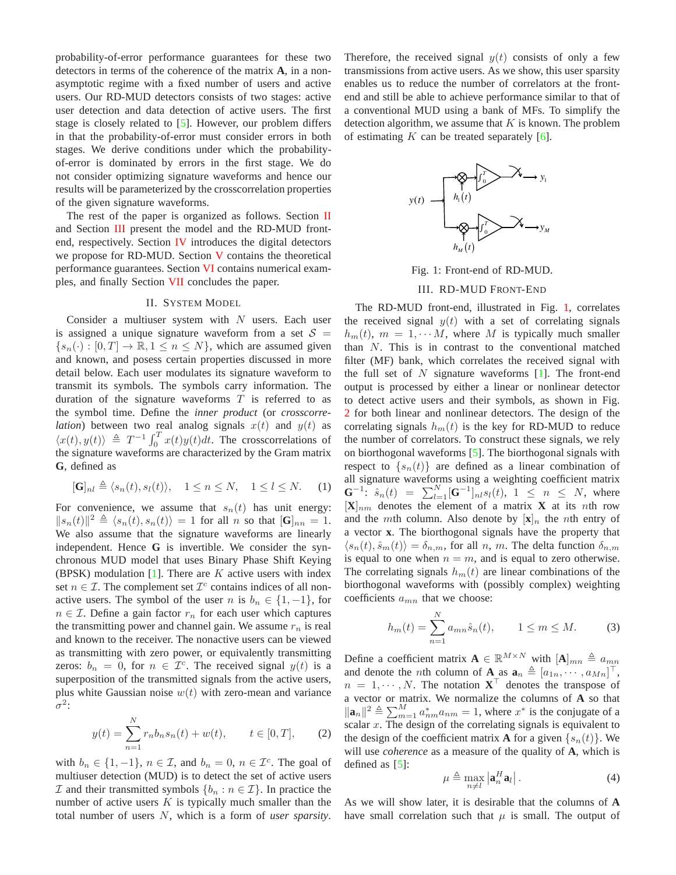probability-of-error performance guarantees for these two detectors in terms of the coherence of the matrix **A**, in a nonasymptotic regime with a fixed number of users and active users. Our RD-MUD detectors consists of two stages: active user detection and data detection of active users. The first stage is closely related to [\[5\]](#page-4-4). However, our problem differs in that the probability-of-error must consider errors in both stages. We derive conditions under which the probabilityof-error is dominated by errors in the first stage. We do not consider optimizing signature waveforms and hence our results will be parameterized by the crosscorrelation properties of the given signature waveforms.

The rest of the paper is organized as follows. Section [II](#page-1-0) and Section [III](#page-1-1) present the model and the RD-MUD frontend, respectively. Section [IV](#page-2-0) introduces the digital detectors we propose for RD-MUD. Section [V](#page-3-0) contains the theoretical performance guarantees. Section [VI](#page-4-5) contains numerical examples, and finally Section [VII](#page-4-6) concludes the paper.

## II. SYSTEM MODEL

<span id="page-1-0"></span>Consider a multiuser system with  $N$  users. Each user is assigned a unique signature waveform from a set  $S =$  ${s_n(\cdot): [0,T] \to \mathbb{R}, 1 \leq n \leq N}$ , which are assumed given and known, and posess certain properties discussed in more detail below. Each user modulates its signature waveform to transmit its symbols. The symbols carry information. The duration of the signature waveforms  $T$  is referred to as the symbol time. Define the *inner product* (or *crosscorrelation*) between two real analog signals  $x(t)$  and  $y(t)$  as  $\langle x(t), y(t) \rangle \triangleq T^{-1} \int_0^T x(t)y(t)dt$ . The crosscorrelations of the signature waveforms are characterized by the Gram matrix **G**, defined as

$$
[\mathbf{G}]_{nl} \triangleq \langle s_n(t), s_l(t) \rangle, \quad 1 \le n \le N, \quad 1 \le l \le N. \tag{1}
$$

For convenience, we assume that  $s_n(t)$  has unit energy:  $||s_n(t)||^2 \triangleq \langle s_n(t), s_n(t) \rangle = 1$  for all n so that  $[\mathbf{G}]_{nn} = 1$ . We also assume that the signature waveforms are linearly independent. Hence **G** is invertible. We consider the synchronous MUD model that uses Binary Phase Shift Keying (BPSK) modulation  $[1]$ . There are K active users with index set  $n \in \mathcal{I}$ . The complement set  $\mathcal{I}^c$  contains indices of all nonactive users. The symbol of the user n is  $b_n \in \{1, -1\}$ , for  $n \in \mathcal{I}$ . Define a gain factor  $r_n$  for each user which captures the transmitting power and channel gain. We assume  $r_n$  is real and known to the receiver. The nonactive users can be viewed as transmitting with zero power, or equivalently transmitting zeros:  $b_n = 0$ , for  $n \in \mathcal{I}^c$ . The received signal  $y(t)$  is a superposition of the transmitted signals from the active users, plus white Gaussian noise  $w(t)$  with zero-mean and variance  $\sigma^2$ :

<span id="page-1-4"></span>
$$
y(t) = \sum_{n=1}^{N} r_n b_n s_n(t) + w(t), \qquad t \in [0, T], \qquad (2)
$$

with  $b_n \in \{1, -1\}$ ,  $n \in \mathcal{I}$ , and  $b_n = 0$ ,  $n \in \mathcal{I}^c$ . The goal of multiuser detection (MUD) is to detect the set of active users  $\mathcal I$  and their transmitted symbols  $\{b_n : n \in \mathcal I\}$ . In practice the number of active users  $K$  is typically much smaller than the total number of users N, which is a form of *user sparsity*.

Therefore, the received signal  $y(t)$  consists of only a few transmissions from active users. As we show, this user sparsity enables us to reduce the number of correlators at the frontend and still be able to achieve performance similar to that of a conventional MUD using a bank of MFs. To simplify the detection algorithm, we assume that  $K$  is known. The problem of estimating K can be treated separately  $[6]$ .

<span id="page-1-2"></span>

Fig. 1: Front-end of RD-MUD. III. RD-MUD FRONT-END

<span id="page-1-1"></span>The RD-MUD front-end, illustrated in Fig. [1,](#page-1-2) correlates the received signal  $y(t)$  with a set of correlating signals  $h_m(t)$ ,  $m = 1, \dots M$ , where M is typically much smaller than N. This is in contrast to the conventional matched filter (MF) bank, which correlates the received signal with the full set of  $N$  signature waveforms  $[1]$ . The front-end output is processed by either a linear or nonlinear detector to detect active users and their symbols, as shown in Fig. [2](#page-2-1) for both linear and nonlinear detectors. The design of the correlating signals  $h_m(t)$  is the key for RD-MUD to reduce the number of correlators. To construct these signals, we rely on biorthogonal waveforms [\[5\]](#page-4-4). The biorthogonal signals with respect to  $\{s_n(t)\}\$ are defined as a linear combination of all signature waveforms using a weighting coefficient matrix  $\mathbf{G}^{-1}$ :  $\hat{s}_n(t) = \sum_{l=1}^{N} [\mathbf{G}^{-1}]_{nl} s_l(t)$ ,  $1 \leq n \leq N$ , where  $[\mathbf{X}]_{nm}$  denotes the element of a matrix **X** at its nth row and the *mth* column. Also denote by  $[\mathbf{x}]_n$  the *nth* entry of a vector **x**. The biorthogonal signals have the property that  $\langle s_n(t), \hat{s}_m(t)\rangle = \delta_{n,m}$ , for all n, m. The delta function  $\delta_{n,m}$ is equal to one when  $n = m$ , and is equal to zero otherwise. The correlating signals  $h_m(t)$  are linear combinations of the biorthogonal waveforms with (possibly complex) weighting coefficients  $a_{mn}$  that we choose:

$$
h_m(t) = \sum_{n=1}^{N} a_{mn} \hat{s}_n(t), \qquad 1 \le m \le M. \tag{3}
$$

Define a coefficient matrix  $\mathbf{A} \in \mathbb{R}^{M \times N}$  with  $[\mathbf{A}]_{mn} \triangleq a_{mn}$ and denote the *n*th column of  $\mathbf{A}_{\mathbf{A}}$  as  $\mathbf{a}_n \triangleq [a_{1n}, \cdots, a_{Mn}]^\top$ ,  $n = 1, \dots, N$ . The notation **X**<sup> $\top$ </sup> denotes the transpose of a vector or matrix. We normalize the columns of **A** so that  $\|\mathbf{a}_n\|^2 \triangleq \sum_{m=1}^M a_{nm}^* a_{nm} = 1$ , where  $x^*$  is the conjugate of a scalar  $x$ . The design of the correlating signals is equivalent to the design of the coefficient matrix **A** for a given  $\{s_n(t)\}\$ . We will use *coherence* as a measure of the quality of **A**, which is defined as  $[5]$ :

<span id="page-1-3"></span>
$$
\mu \triangleq \max_{n \neq l} \left| \mathbf{a}_n^H \mathbf{a}_l \right|.
$$
 (4)

As we will show later, it is desirable that the columns of **A** have small correlation such that  $\mu$  is small. The output of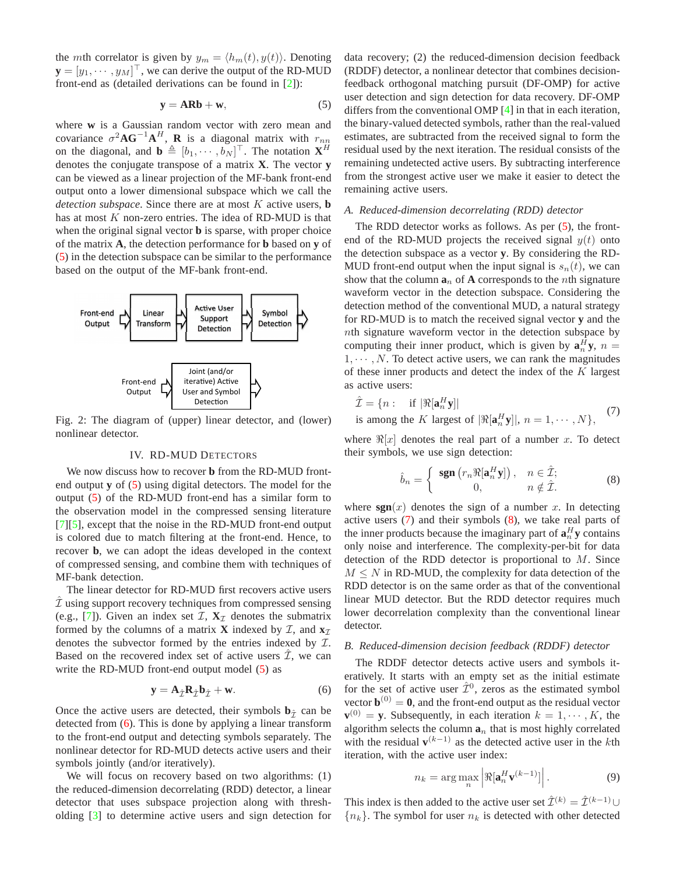the *mth* correlator is given by  $y_m = \langle h_m(t), y(t) \rangle$ . Denoting  $\mathbf{y} = [y_1, \dots, y_M]^\top$ , we can derive the output of the RD-MUD front-end as (detailed derivations can be found in [\[2\]](#page-4-1)):

<span id="page-2-2"></span>
$$
y = ARb + w,\t\t(5)
$$

where **w** is a Gaussian random vector with zero mean and covariance  $\sigma^2 \mathbf{A} \mathbf{G}^{-1} \mathbf{A}^H$ , **R** is a diagonal matrix with  $r_{nn}$ on the diagonal, and  $\mathbf{b} \triangleq [b_1, \dots, b_N]^\top$ . The notation **X**<sup>*H*</sup> denotes the conjugate transpose of a matrix **X**. The vector **y** can be viewed as a linear projection of the MF-bank front-end output onto a lower dimensional subspace which we call the *detection subspace*. Since there are at most K active users, **b** has at most  $K$  non-zero entries. The idea of RD-MUD is that when the original signal vector **b** is sparse, with proper choice of the matrix **A**, the detection performance for **b** based on **y** of [\(5\)](#page-2-2) in the detection subspace can be similar to the performance based on the output of the MF-bank front-end.

<span id="page-2-1"></span>

<span id="page-2-0"></span>Fig. 2: The diagram of (upper) linear detector, and (lower) nonlinear detector.

## IV. RD-MUD DETECTORS

We now discuss how to recover **b** from the RD-MUD frontend output **y** of [\(5\)](#page-2-2) using digital detectors. The model for the output [\(5\)](#page-2-2) of the RD-MUD front-end has a similar form to the observation model in the compressed sensing literature [\[7\]](#page-4-8)[\[5\]](#page-4-4), except that the noise in the RD-MUD front-end output is colored due to match filtering at the front-end. Hence, to recover **b**, we can adopt the ideas developed in the context of compressed sensing, and combine them with techniques of MF-bank detection.

The linear detector for RD-MUD first recovers active users  $I$  using support recovery techniques from compressed sensing (e.g., [\[7\]](#page-4-8)). Given an index set  $\mathcal{I}, \mathbf{X}_{\mathcal{I}}$  denotes the submatrix formed by the columns of a matrix **X** indexed by  $\mathcal{I}$ , and  $\mathbf{x}$ <sub>I</sub> denotes the subvector formed by the entries indexed by I. Based on the recovered index set of active users  $\hat{\mathcal{I}}$ , we can write the RD-MUD front-end output model [\(5\)](#page-2-2) as

<span id="page-2-3"></span>
$$
\mathbf{y} = \mathbf{A}_{\hat{\mathcal{I}}} \mathbf{R}_{\hat{\mathcal{I}}} \mathbf{b}_{\hat{\mathcal{I}}} + \mathbf{w}.
$$
 (6)

Once the active users are detected, their symbols  $\mathbf{b}_{\hat{\tau}}$  can be detected from [\(6\)](#page-2-3). This is done by applying a linear transform to the front-end output and detecting symbols separately. The nonlinear detector for RD-MUD detects active users and their symbols jointly (and/or iteratively).

We will focus on recovery based on two algorithms: (1) the reduced-dimension decorrelating (RDD) detector, a linear detector that uses subspace projection along with thresholding [\[3\]](#page-4-2) to determine active users and sign detection for data recovery; (2) the reduced-dimension decision feedback (RDDF) detector, a nonlinear detector that combines decisionfeedback orthogonal matching pursuit (DF-OMP) for active user detection and sign detection for data recovery. DF-OMP differs from the conventional OMP [\[4\]](#page-4-3) in that in each iteration, the binary-valued detected symbols, rather than the real-valued estimates, are subtracted from the received signal to form the residual used by the next iteration. The residual consists of the remaining undetected active users. By subtracting interference from the strongest active user we make it easier to detect the remaining active users.

#### <span id="page-2-6"></span>*A. Reduced-dimension decorrelating (RDD) detector*

The RDD detector works as follows. As per [\(5\)](#page-2-2), the frontend of the RD-MUD projects the received signal  $y(t)$  onto the detection subspace as a vector **y**. By considering the RD-MUD front-end output when the input signal is  $s_n(t)$ , we can show that the column  $\mathbf{a}_n$  of **A** corresponds to the *n*th signature waveform vector in the detection subspace. Considering the detection method of the conventional MUD, a natural strategy for RD-MUD is to match the received signal vector **y** and the nth signature waveform vector in the detection subspace by computing their inner product, which is given by  $\mathbf{a}_n^H \mathbf{y}$ ,  $n =$  $1, \dots, N$ . To detect active users, we can rank the magnitudes of these inner products and detect the index of the  $K$  largest as active users:

$$
\hat{\mathcal{I}} = \{ n : \text{ if } |\Re[\mathbf{a}_n^H \mathbf{y}]|
$$
\n
$$
\sum_{n=1}^{\infty} |\Re[\mathbf{a}_n^H \mathbf{y}]|
$$
\n
$$
\sum_{n=1}^{\infty} |\Re[\mathbf{a}_n^H \mathbf{y}]|
$$
\n
$$
\sum_{n=1}^{\infty} |\Im[\mathbf{a}_n^H \mathbf{y}]|
$$
\n
$$
\sum_{n=1}^{\infty} |\Im[\mathbf{a}_n^H \mathbf{y}]|
$$
\n
$$
\sum_{n=1}^{\infty} |\Im[\mathbf{a}_n^H \mathbf{y}]|
$$
\n
$$
\sum_{n=1}^{\infty} |\Im[\mathbf{a}_n^H \mathbf{y}]|
$$
\n
$$
\sum_{n=1}^{\infty} |\Im[\mathbf{a}_n^H \mathbf{y}]|
$$
\n
$$
\sum_{n=1}^{\infty} |\Im[\mathbf{a}_n^H \mathbf{y}]|
$$
\n
$$
\sum_{n=1}^{\infty} |\Im[\mathbf{a}_n^H \mathbf{y}]|
$$
\n
$$
\sum_{n=1}^{\infty} |\Im[\mathbf{a}_n^H \mathbf{y}]|
$$
\n
$$
\sum_{n=1}^{\infty} |\Im[\mathbf{a}_n^H \mathbf{y}]|
$$
\n
$$
\sum_{n=1}^{\infty} |\Im[\mathbf{a}_n^H \mathbf{y}]|
$$
\n
$$
\sum_{n=1}^{\infty} |\Im[\mathbf{a}_n^H \mathbf{y}]|
$$
\n
$$
\sum_{n=1}^{\infty} |\Im[\mathbf{a}_n^H \mathbf{y}]|
$$
\n
$$
\sum_{n=1}^{\infty} |\Im[\mathbf{a}_n^H \mathbf{y}]|
$$

<span id="page-2-4"></span>is among the K largest of  $|\Re[\mathbf{a}_n^H \mathbf{y}]|, n = 1, \cdots, N\},\$ 

where  $\Re[x]$  denotes the real part of a number x. To detect their symbols, we use sign detection:

<span id="page-2-5"></span>
$$
\hat{b}_n = \begin{cases} \operatorname{sgn}\left(r_n \Re[\mathbf{a}_n^H \mathbf{y}]\right), & n \in \hat{\mathcal{I}}; \\ 0, & n \notin \hat{\mathcal{I}}. \end{cases} \tag{8}
$$

where  $sgn(x)$  denotes the sign of a number x. In detecting active users  $(7)$  and their symbols  $(8)$ , we take real parts of the inner products because the imaginary part of  $\mathbf{a}_n^H \mathbf{y}$  contains only noise and interference. The complexity-per-bit for data detection of the RDD detector is proportional to M. Since  $M \leq N$  in RD-MUD, the complexity for data detection of the RDD detector is on the same order as that of the conventional linear MUD detector. But the RDD detector requires much lower decorrelation complexity than the conventional linear detector.

## <span id="page-2-7"></span>*B. Reduced-dimension decision feedback (RDDF) detector*

The RDDF detector detects active users and symbols iteratively. It starts with an empty set as the initial estimate for the set of active user  $\hat{\mathcal{I}}^0$ , zeros as the estimated symbol vector  $\mathbf{b}^{(0)} = \mathbf{0}$ , and the front-end output as the residual vector  $\mathbf{v}^{(0)} = \mathbf{y}$ . Subsequently, in each iteration  $k = 1, \dots, K$ , the algorithm selects the column  $a_n$  that is most highly correlated with the residual  $\mathbf{v}^{(k-1)}$  as the detected active user in the kth iteration, with the active user index:

$$
n_k = \arg\max_n \left| \Re[\mathbf{a}_n^H \mathbf{v}^{(k-1)}] \right|.
$$
 (9)

This index is then added to the active user set  $\hat{\mathcal{I}}^{(k)} = \hat{\mathcal{I}}^{(k-1)} \cup$  ${n_k}$ . The symbol for user  $n_k$  is detected with other detected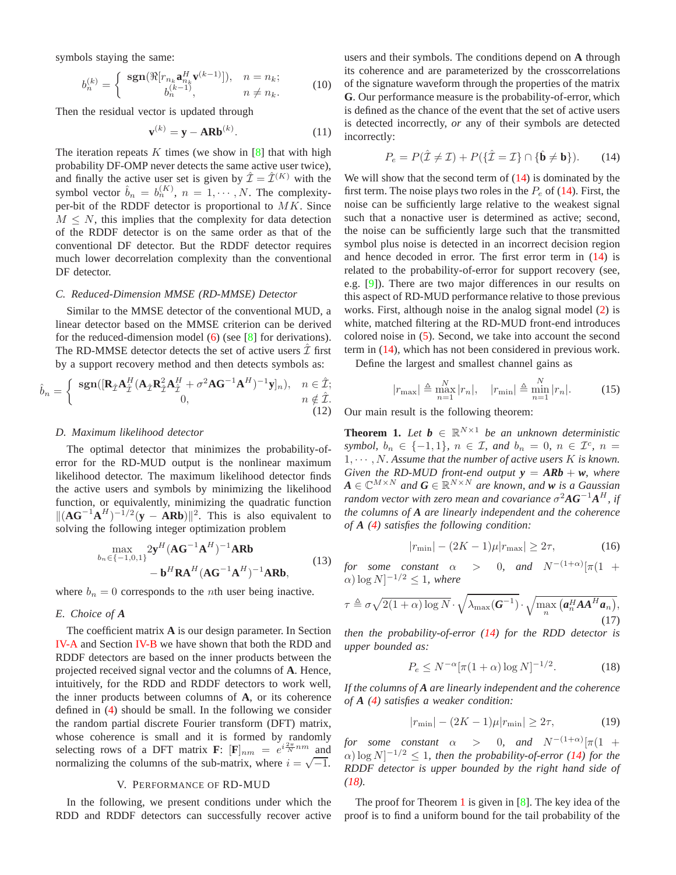symbols staying the same:

$$
b_n^{(k)} = \begin{cases} \operatorname{sgn}(\Re[r_{n_k}\mathbf{a}_{n_k}^H \mathbf{v}^{(k-1)}]), & n = n_k; \\ b_n^{(k-1)}, & n \neq n_k. \end{cases}
$$
(10)

Then the residual vector is updated through

$$
\mathbf{v}^{(k)} = \mathbf{y} - \mathbf{ARb}^{(k)}.\tag{11}
$$

The iteration repeats  $K$  times (we show in [\[8\]](#page-4-9) that with high probability DF-OMP never detects the same active user twice), and finally the active user set is given by  $\hat{\mathcal{I}} = \hat{\mathcal{I}}^{(K)}$  with the symbol vector  $\hat{b}_n = b_n^{(K)}$ ,  $n = 1, \dots, N$ . The complexityper-bit of the RDDF detector is proportional to  $MK$ . Since  $M \leq N$ , this implies that the complexity for data detection of the RDDF detector is on the same order as that of the conventional DF detector. But the RDDF detector requires much lower decorrelation complexity than the conventional DF detector.

#### *C. Reduced-Dimension MMSE (RD-MMSE) Detector*

Similar to the MMSE detector of the conventional MUD, a linear detector based on the MMSE criterion can be derived for the reduced-dimension model [\(6\)](#page-2-3) (see [\[8\]](#page-4-9) for derivations). The RD-MMSE detector detects the set of active users  $\mathcal{I}$  first by a support recovery method and then detects symbols as:

$$
\hat{b}_n = \begin{cases}\n\text{sgn}([\mathbf{R}_{\hat{\mathcal{I}}}\mathbf{A}_{\hat{\mathcal{I}}}^H(\mathbf{A}_{\hat{\mathcal{I}}}\mathbf{R}_{\hat{\mathcal{I}}}^2\mathbf{A}_{\hat{\mathcal{I}}}^H + \sigma^2\mathbf{A}\mathbf{G}^{-1}\mathbf{A}^H)^{-1}\mathbf{y}]_n), & n \in \hat{\mathcal{I}}; \\
0, & n \notin \hat{\mathcal{I}}.\n\end{cases}
$$
\n(12)

#### *D. Maximum likelihood detector*

The optimal detector that minimizes the probability-oferror for the RD-MUD output is the nonlinear maximum likelihood detector. The maximum likelihood detector finds the active users and symbols by minimizing the likelihood function, or equivalently, minimizing the quadratic function  $||(AG^{-1}A<sup>H</sup>)<sup>-1/2</sup>(**y** − A**Rb**)||<sup>2</sup>.$  This is also equivalent to solving the following integer optimization problem

$$
\max_{b_n \in \{-1,0,1\}} 2\mathbf{y}^H (\mathbf{A}\mathbf{G}^{-1}\mathbf{A}^H)^{-1} \mathbf{A}\mathbf{R}\mathbf{b}
$$
\n
$$
-\mathbf{b}^H \mathbf{R}\mathbf{A}^H (\mathbf{A}\mathbf{G}^{-1}\mathbf{A}^H)^{-1} \mathbf{A}\mathbf{R}\mathbf{b},
$$
\n(13)

where  $b_n = 0$  corresponds to the *n*th user being inactive.

## *E. Choice of A*

The coefficient matrix **A** is our design parameter. In Section [IV-A](#page-2-6) and Section [IV-B](#page-2-7) we have shown that both the RDD and RDDF detectors are based on the inner products between the projected received signal vector and the columns of **A**. Hence, intuitively, for the RDD and RDDF detectors to work well, the inner products between columns of **A**, or its coherence defined in [\(4\)](#page-1-3) should be small. In the following we consider the random partial discrete Fourier transform (DFT) matrix, whose coherence is small and it is formed by randomly selecting rows of a DFT matrix **F**:  $[\mathbf{F}]_{nm} = e^{i\frac{2\pi}{N}nm}$  and normalizing the columns of the sub-matrix, where  $i = \sqrt{-1}$ .

## V. PERFORMANCE OF RD-MUD

<span id="page-3-0"></span>In the following, we present conditions under which the RDD and RDDF detectors can successfully recover active

users and their symbols. The conditions depend on **A** through its coherence and are parameterized by the crosscorrelations of the signature waveform through the properties of the matrix **G**. Our performance measure is the probability-of-error, which is defined as the chance of the event that the set of active users is detected incorrectly, *or* any of their symbols are detected incorrectly:

<span id="page-3-1"></span>
$$
P_e = P(\hat{\mathcal{I}} \neq \mathcal{I}) + P(\{\hat{\mathcal{I}} = \mathcal{I}\} \cap \{\hat{\mathbf{b}} \neq \mathbf{b}\}).\tag{14}
$$

We will show that the second term of  $(14)$  is dominated by the first term. The noise plays two roles in the  $P_e$  of [\(14\)](#page-3-1). First, the noise can be sufficiently large relative to the weakest signal such that a nonactive user is determined as active; second, the noise can be sufficiently large such that the transmitted symbol plus noise is detected in an incorrect decision region and hence decoded in error. The first error term in [\(14\)](#page-3-1) is related to the probability-of-error for support recovery (see, e.g. [\[9\]](#page-4-10)). There are two major differences in our results on this aspect of RD-MUD performance relative to those previous works. First, although noise in the analog signal model [\(2\)](#page-1-4) is white, matched filtering at the RD-MUD front-end introduces colored noise in [\(5\)](#page-2-2). Second, we take into account the second term in [\(14\)](#page-3-1), which has not been considered in previous work.

Define the largest and smallest channel gains as

$$
|r_{\text{max}}| \triangleq \max_{n=1}^{N} |r_n|, \quad |r_{\text{min}}| \triangleq \min_{n=1}^{N} |r_n|.
$$
 (15)

Our main result is the following theorem:

<span id="page-3-3"></span>**Theorem 1.** Let  $b \in \mathbb{R}^{N \times 1}$  be an unknown deterministic *symbol,*  $b_n \in \{-1, 1\}$ ,  $n \in \mathcal{I}$ , and  $b_n = 0$ ,  $n \in \mathcal{I}^c$ ,  $n =$  $1, \cdots, N$ . Assume that the number of active users  $K$  is known. *Given the RD-MUD front-end output*  $y = ARb + w$ *, where*  $A \in \mathbb{C}^{M \times N}$  and  $G \in \mathbb{R}^{N \times N}$  are known, and **w** is a Gaussian *random vector with zero mean and covariance*  $\sigma^2 \mathbf{A} \mathbf{G}^{-1} \mathbf{A}^H$ *, if the columns of A are linearly independent and the coherence of A [\(4\)](#page-1-3) satisfies the following condition:*

$$
|r_{\min}| - (2K - 1)\mu |r_{\max}| \ge 2\tau,
$$
 (16)

*for some constant α*  $> 0$ , and  $N^{-(1+\alpha)}[\pi(1 +$  $\alpha) \log N$ ]<sup>-1/2</sup>  $\leq$  1, where

<span id="page-3-4"></span>
$$
\tau \triangleq \sigma \sqrt{2(1+\alpha)\log N} \cdot \sqrt{\lambda_{\max}(\mathbf{G}^{-1})} \cdot \sqrt{\max_{n} (\mathbf{a}_{n}^{H} \mathbf{A} \mathbf{A}^{H} \mathbf{a}_{n})},
$$
\n(17)

*then the probability-of-error [\(14\)](#page-3-1) for the RDD detector is upper bounded as:*

<span id="page-3-2"></span>
$$
P_e \le N^{-\alpha} [\pi (1 + \alpha) \log N]^{-1/2}.
$$
 (18)

*If the columns of A are linearly independent and the coherence of A [\(4\)](#page-1-3) satisfies a weaker condition:*

$$
|r_{\min}| - (2K - 1)\mu |r_{\min}| \ge 2\tau,
$$
 (19)

*for some constant*  $\alpha$  > 0*, and*  $N^{-(1+\alpha)}[\pi(1 +$  $\alpha$ )  $\log N$ <sup> $-1/2$ </sup>  $\leq$  1*, then the probability-of-error* [\(14\)](#page-3-1) for the *RDDF detector is upper bounded by the right hand side of [\(18\)](#page-3-2).*

The proof for Theorem [1](#page-3-3) is given in  $[8]$ . The key idea of the proof is to find a uniform bound for the tail probability of the